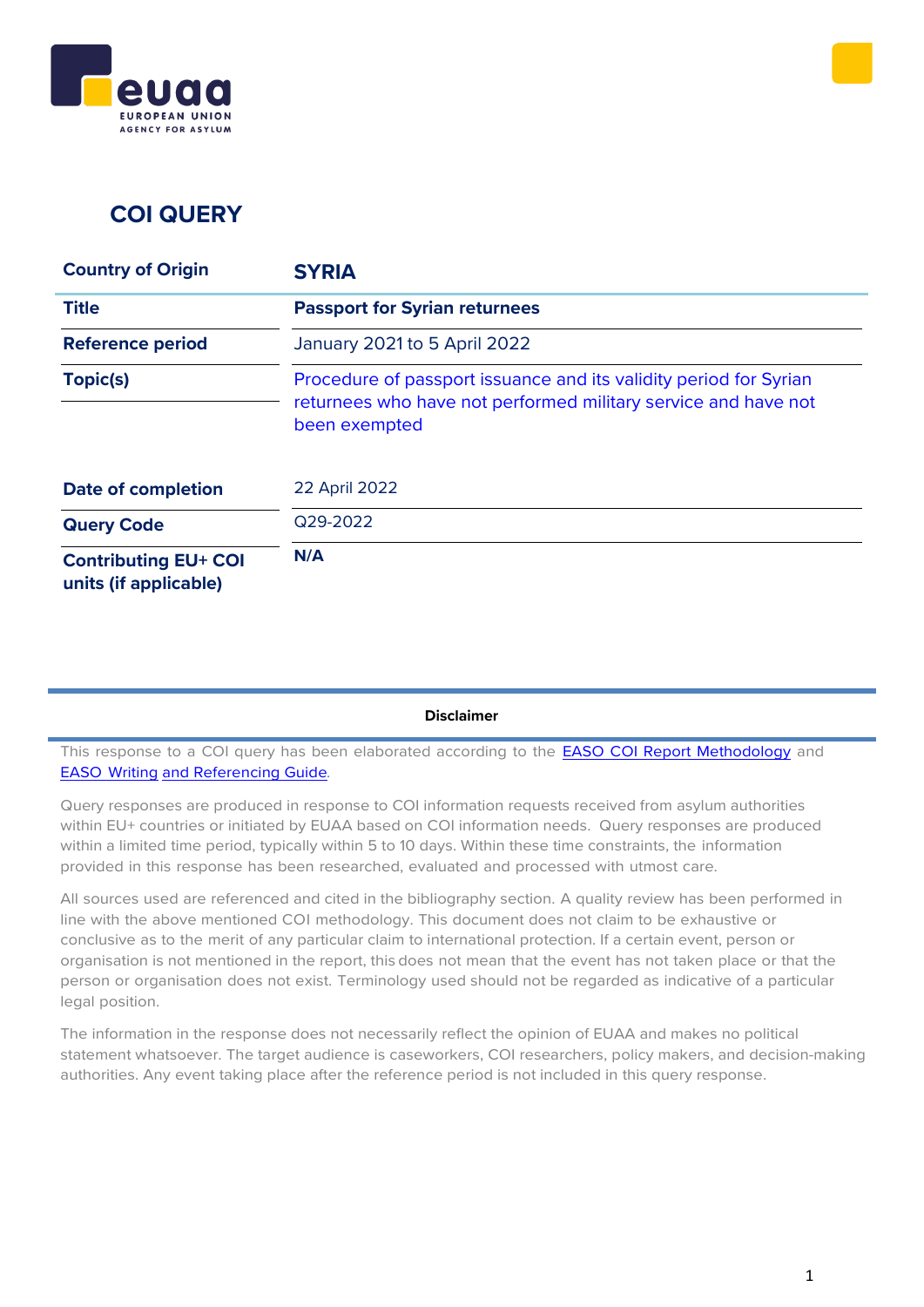



## **COI QUERY**

| <b>Country of Origin</b>                             | <b>SYRIA</b>                                                                                                                                         |
|------------------------------------------------------|------------------------------------------------------------------------------------------------------------------------------------------------------|
| <b>Title</b>                                         | <b>Passport for Syrian returnees</b>                                                                                                                 |
| <b>Reference period</b>                              | January 2021 to 5 April 2022                                                                                                                         |
| Topic(s)                                             | Procedure of passport issuance and its validity period for Syrian<br>returnees who have not performed military service and have not<br>been exempted |
| <b>Date of completion</b>                            | 22 April 2022                                                                                                                                        |
| <b>Query Code</b>                                    | Q29-2022                                                                                                                                             |
| <b>Contributing EU+ COI</b><br>units (if applicable) | N/A                                                                                                                                                  |

#### **Disclaimer**

This response to a COI query has been elaborated according to the **EASO COI Report [Methodology](https://coi.easo.europa.eu/administration/easo/PLib/2019_EASO_COI_Report_Methodology.pdf)** and EASO [Writing](https://coi.easo.europa.eu/administration/easo/PLib/2019_EASO_COI_Writing_and_Referencing_Guide.pdf) and [Referencing](https://coi.easo.europa.eu/administration/easo/PLib/2019_EASO_COI_Writing_and_Referencing_Guide.pdf) Guide*.*

Query responses are produced in response to COI information requests received from asylum authorities within EU+ countries or initiated by EUAA based on COI information needs. Query responses are produced within a limited time period, typically within 5 to 10 days. Within these time constraints, the information provided in this response has been researched, evaluated and processed with utmost care.

All sources used are referenced and cited in the bibliography section. A quality review has been performed in line with the above mentioned COI methodology. This document does not claim to be exhaustive or conclusive as to the merit of any particular claim to international protection. If a certain event, person or organisation is not mentioned in the report, this does not mean that the event has not taken place or that the person or organisation does not exist. Terminology used should not be regarded as indicative of a particular legal position.

The information in the response does not necessarily reflect the opinion of EUAA and makes no political statement whatsoever. The target audience is caseworkers, COI researchers, policy makers, and decision-making authorities. Any event taking place after the reference period is not included in this query response.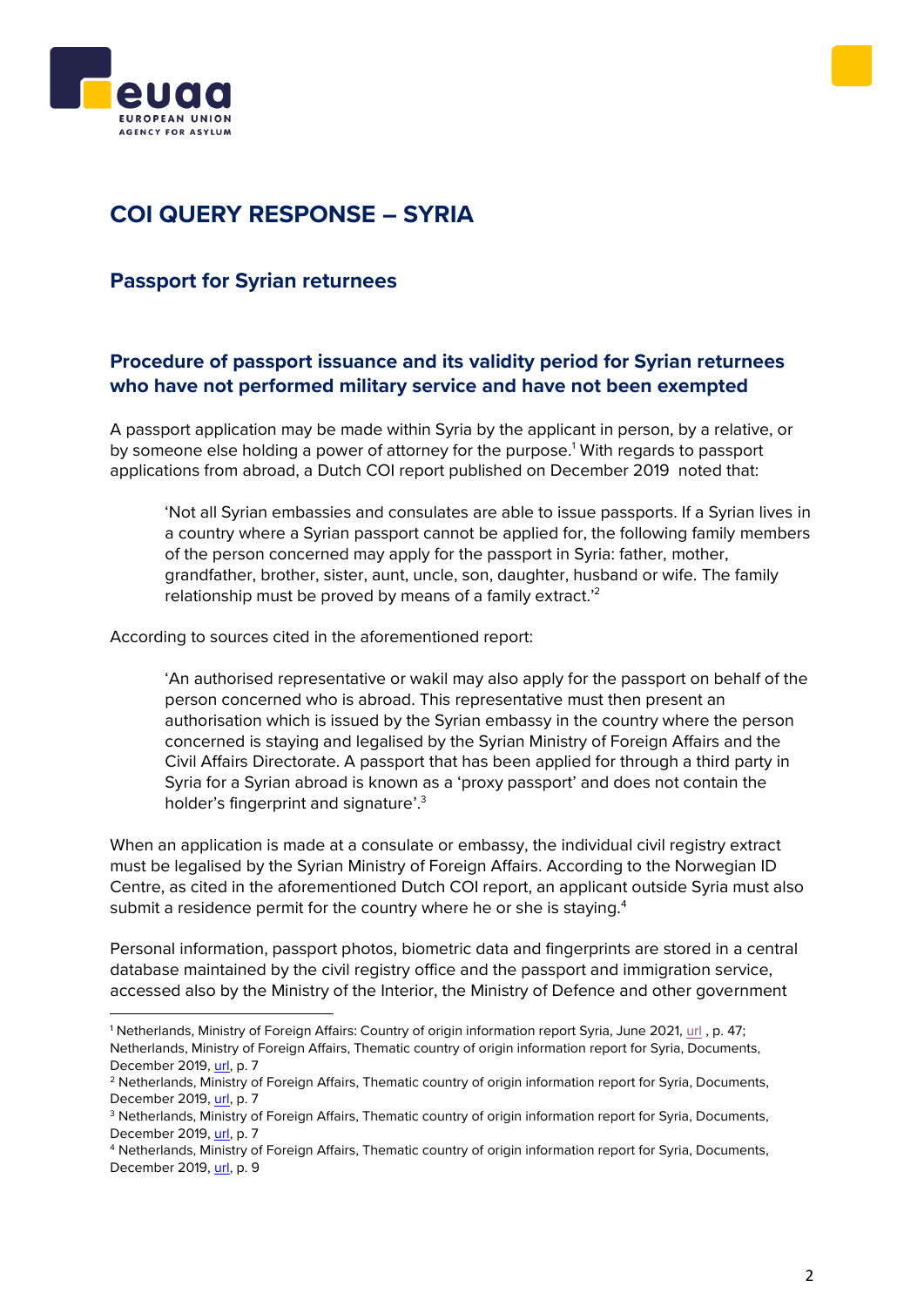



# **COI QUERY RESPONSE – SYRIA**

### **Passport for Syrian returnees**

### <span id="page-1-0"></span>**Procedure of passport issuance and its validity period for Syrian returnees who have not performed military service and have not been exempted**

A passport application may be made within Syria by the applicant in person, by a relative, or by someone else holding a power of attorney for the purpose.<sup>1</sup> With regards to passport applications from abroad, a Dutch COI report published on December 2019 noted that:

'Not all Syrian embassies and consulates are able to issue passports. If a Syrian lives in a country where a Syrian passport cannot be applied for, the following family members of the person concerned may apply for the passport in Syria: father, mother, grandfather, brother, sister, aunt, uncle, son, daughter, husband or wife. The family relationship must be proved by means of a family extract.<sup>22</sup>

According to sources cited in the aforementioned report:

'An authorised representative or wakil may also apply for the passport on behalf of the person concerned who is abroad. This representative must then present an authorisation which is issued by the Syrian embassy in the country where the person concerned is staying and legalised by the Syrian Ministry of Foreign Affairs and the Civil Affairs Directorate. A passport that has been applied for through a third party in Syria for a Syrian abroad is known as a 'proxy passport' and does not contain the holder's fingerprint and signature'.<sup>3</sup>

When an application is made at a consulate or embassy, the individual civil registry extract must be legalised by the Syrian Ministry of Foreign Affairs. According to the Norwegian ID Centre, as cited in the aforementioned Dutch COI report, an applicant outside Syria must also submit a residence permit for the country where he or she is staying.<sup>4</sup>

Personal information, passport photos, biometric data and fingerprints are stored in a central database maintained by the civil registry office and the passport and immigration service, accessed also by the Ministry of the Interior, the Ministry of Defence and other government

<sup>1</sup> Netherlands, Ministry of Foreign Affairs: Country of origin information report Syria, June 2021, [url](https://www.government.nl/documents/reports/2021/06/14/country-of-origin-information-report-syria-june-2021) , p. 47; Netherlands, Ministry of Foreign Affairs, Thematic country of origin information report for Syria, Documents, December 2019, [url,](https://www.government.nl/documents/reports/2019/12/31/country-of-origin-information-report-syria-december-2019) p. 7

<sup>&</sup>lt;sup>2</sup> Netherlands, Ministry of Foreign Affairs, Thematic country of origin information report for Syria, Documents, December 2019, [url,](https://www.government.nl/documents/reports/2019/12/31/country-of-origin-information-report-syria-december-2019) p. 7

<sup>3</sup> Netherlands, Ministry of Foreign Affairs, Thematic country of origin information report for Syria, Documents, December 2019, [url,](https://www.government.nl/documents/reports/2019/12/31/country-of-origin-information-report-syria-december-2019) p. 7

<sup>4</sup> Netherlands, Ministry of Foreign Affairs, Thematic country of origin information report for Syria, Documents, December 2019, [url,](https://www.government.nl/documents/reports/2019/12/31/country-of-origin-information-report-syria-december-2019) p. 9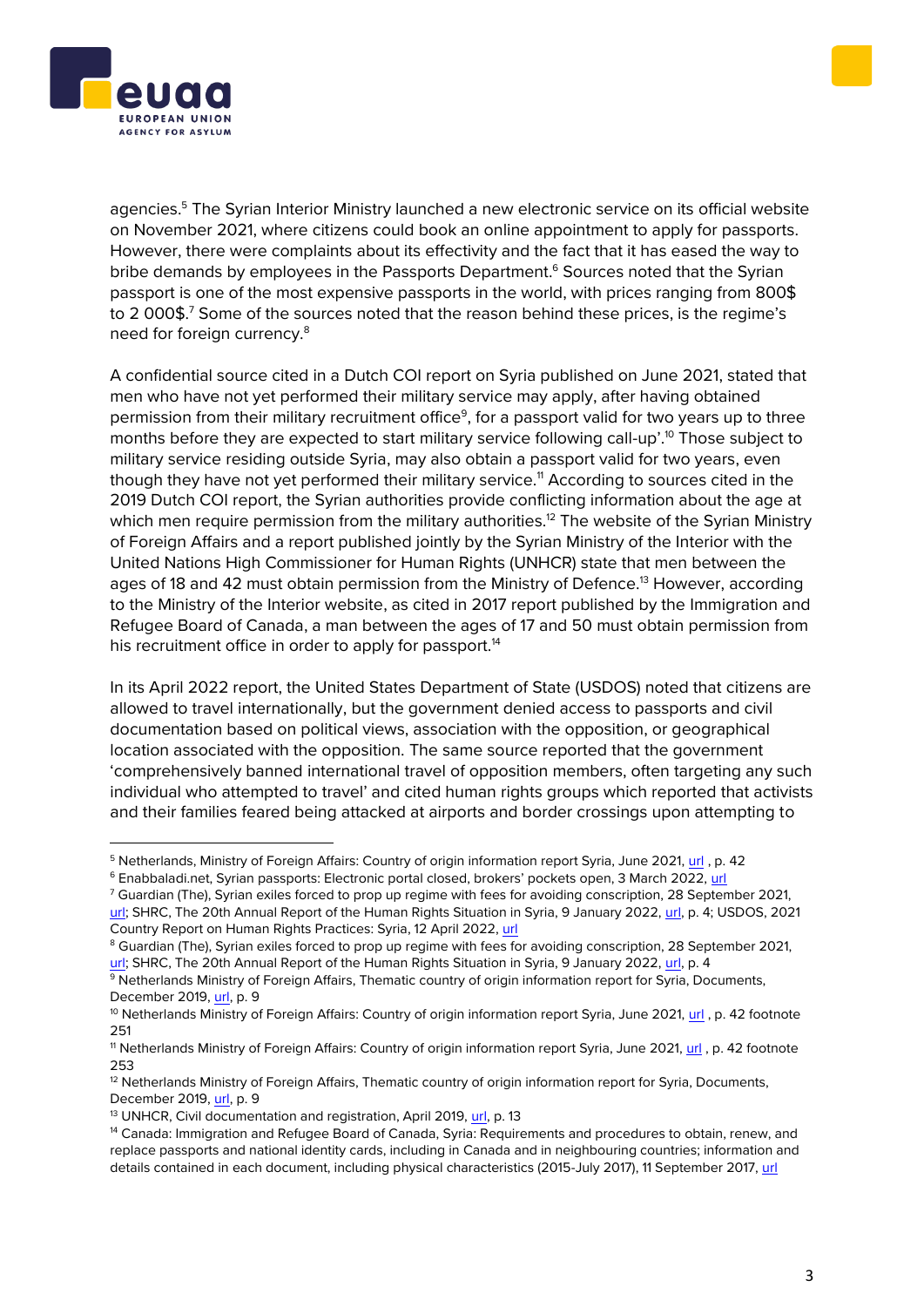



agencies.<sup>5</sup> The Syrian Interior Ministry launched a new electronic service on its official website on November 2021, where citizens could book an online appointment to apply for passports. However, there were complaints about its effectivity and the fact that it has eased the way to bribe demands by employees in the Passports Department. <sup>6</sup> Sources noted that the Syrian passport is one of the most expensive passports in the world, with prices ranging from 800\$ to 2 000\$.<sup>7</sup> Some of the sources noted that the reason behind these prices, is the regime's need for foreign currency.<sup>8</sup>

A confidential source cited in a Dutch COI report on Syria published on June 2021, stated that men who have not yet performed their military service may apply, after having obtained permission from their military recruitment office<sup>9</sup>, for a passport valid for two years up to three months before they are expected to start military service following call-up'. <sup>10</sup> Those subject to military service residing outside Syria, may also obtain a passport valid for two years, even though they have not yet performed their military service.<sup>11</sup> According to sources cited in the 2019 Dutch COI report, the Syrian authorities provide conflicting information about the age at which men require permission from the military authorities.<sup>12</sup> The website of the Syrian Ministry of Foreign Affairs and a report published jointly by the Syrian Ministry of the Interior with the United Nations High Commissioner for Human Rights (UNHCR) state that men between the ages of 18 and 42 must obtain permission from the Ministry of Defence.<sup>13</sup> However, according to the Ministry of the Interior website, as cited in 2017 report published by the Immigration and Refugee Board of Canada, a man between the ages of 17 and 50 must obtain permission from his recruitment office in order to apply for passport.<sup>14</sup>

In its April 2022 report, the United States Department of State (USDOS) noted that citizens are allowed to travel internationally, but the government denied access to passports and civil documentation based on political views, association with the opposition, or geographical location associated with the opposition. The same source reported that the government 'comprehensively banned international travel of opposition members, often targeting any such individual who attempted to travel' and cited human rights groups which reported that activists and their families feared being attacked at airports and border crossings upon attempting to

<sup>7</sup> Guardian (The), Syrian exiles forced to prop up regime with fees for avoiding conscription, 28 September 2021, [url;](https://www.theguardian.com/world/2021/sep/28/why-syrian-exiles-are-having-to-pay-up-to-skip-military-service) SHRC, The 20th Annual Report of the Human Rights Situation in Syria, 9 January 2022, [url,](https://www.shrc.org/en/wp-content/uploads/2022/01/20220106-English-Report_web.pdf) p. 4; USDOS, 2021 Country Report on Human Rights Practices: Syria, 12 April 2022, [url](https://www.state.gov/reports/2021-country-reports-on-human-rights-practices/syria)

<sup>5</sup> Netherlands, Ministry of Foreign Affairs: Country of origin information report Syria, June 2021, [url](https://www.government.nl/documents/reports/2021/06/14/country-of-origin-information-report-syria-june-2021) , p. 42

<sup>6</sup> Enabbaladi.net, Syrian passports: Electronic portal closed, brokers' pockets open, 3 March 2022, [url](https://english.enabbaladi.net/archives/2022/03/syrian-passports-electronic-portal-closed-brokers-pockets-open/)

<sup>&</sup>lt;sup>8</sup> Guardian (The), Syrian exiles forced to prop up regime with fees for avoiding conscription, 28 September 2021. url: SHRC, The 20th Annual Report of the Human Rights Situation in Syria, 9 January 2022, [url,](https://www.shrc.org/en/wp-content/uploads/2022/01/20220106-English-Report_web.pdf) p. 4

<sup>9</sup> Netherlands Ministry of Foreign Affairs, Thematic country of origin information report for Syria, Documents, December 2019, [url,](https://www.government.nl/documents/reports/2019/12/31/country-of-origin-information-report-syria-december-2019) p. 9

<sup>&</sup>lt;sup>10</sup> Netherlands Ministry of Foreign Affairs: Country of origin information report Syria, June 2021, [url](https://www.government.nl/documents/reports/2021/06/14/country-of-origin-information-report-syria-june-2021), p. 42 footnote 251

<sup>&</sup>lt;sup>11</sup> Netherlands Ministry of Foreign Affairs: Country of origin information report Syria, June 2021, [url](https://www.government.nl/documents/reports/2021/06/14/country-of-origin-information-report-syria-june-2021), p. 42 footnote 253

<sup>&</sup>lt;sup>12</sup> Netherlands Ministry of Foreign Affairs, Thematic country of origin information report for Syria, Documents, December 2019, [url,](https://www.government.nl/documents/reports/2019/12/31/country-of-origin-information-report-syria-december-2019) p. 9

<sup>&</sup>lt;sup>13</sup> UNHCR, Civil documentation and registration, April 2019[, url,](https://data2.unhcr.org/en/documents/details/69169) p. 13

<sup>14</sup> Canada: Immigration and Refugee Board of Canada, Syria: Requirements and procedures to obtain, renew, and replace passports and national identity cards, including in Canada and in neighbouring countries; information and details contained in each document, including physical characteristics (2015-July 2017), 11 September 2017, [url](https://www.refworld.org/docid/59d384c14.html)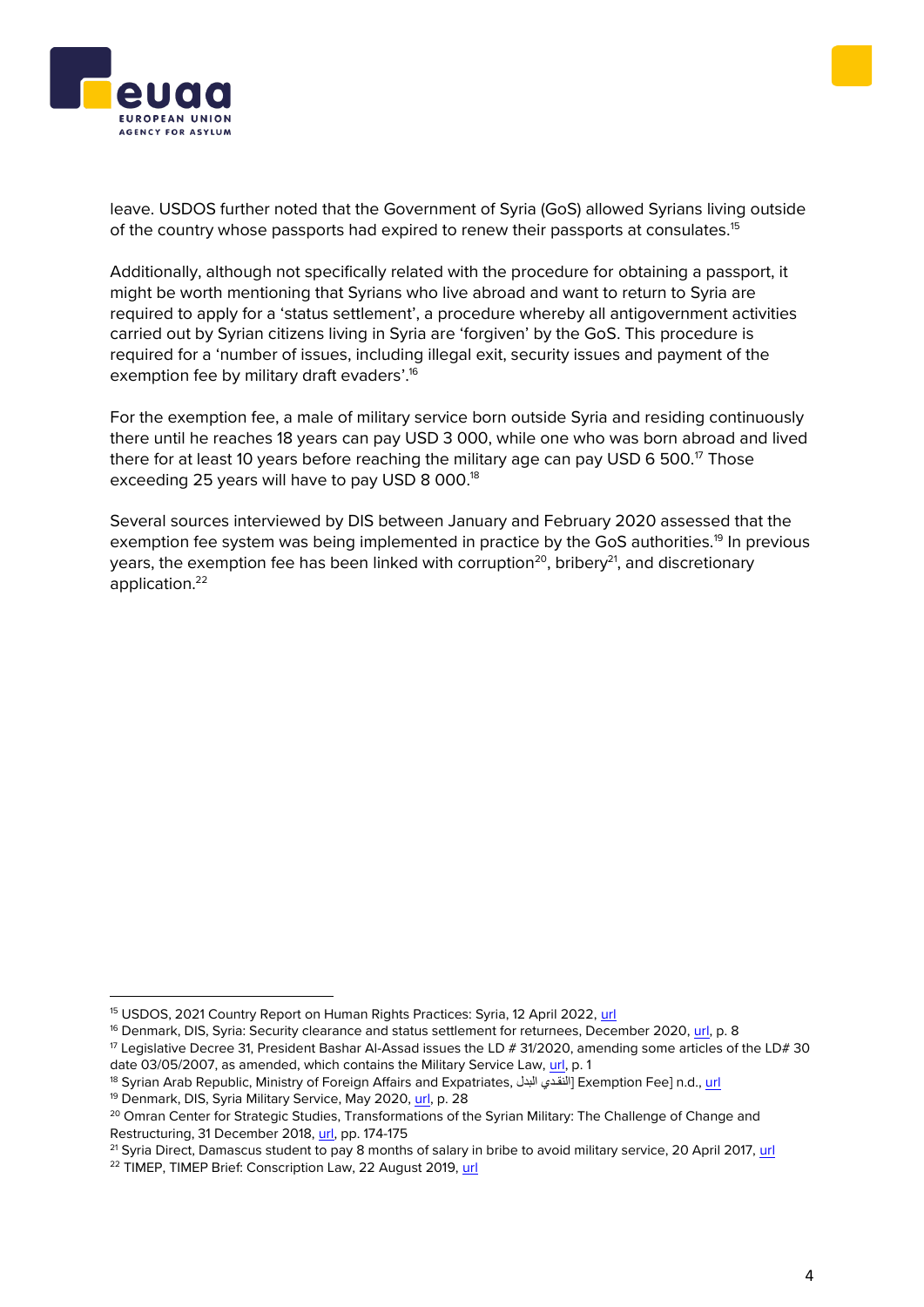



leave. USDOS further noted that the Government of Syria (GoS) allowed Syrians living outside of the country whose passports had expired to renew their passports at consulates.<sup>15</sup>

Additionally, although not specifically related with the procedure for obtaining a passport, it might be worth mentioning that Syrians who live abroad and want to return to Syria are required to apply for a 'status settlement', a procedure whereby all antigovernment activities carried out by Syrian citizens living in Syria are 'forgiven' by the GoS. This procedure is required for a 'number of issues, including illegal exit, security issues and payment of the exemption fee by military draft evaders'.<sup>16</sup>

For the exemption fee, a male of military service born outside Syria and residing continuously there until he reaches 18 years can pay USD 3 000, while one who was born abroad and lived there for at least 10 years before reaching the military age can pay USD 6 500. $\mathrm{^{17}}$  Those exceeding 25 years will have to pay USD 8 000.<sup>18</sup>

Several sources interviewed by DIS between January and February 2020 assessed that the exemption fee system was being implemented in practice by the GoS authorities.<sup>19</sup> In previous years, the exemption fee has been linked with corruption<sup>20</sup>, bribery<sup>21</sup>, and discretionary application. 22

<sup>15</sup> USDOS, 2021 Country Report on Human Rights Practices: Syria, 12 April 2022, [url](https://www.state.gov/reports/2021-country-reports-on-human-rights-practices/syria)

<sup>&</sup>lt;sup>16</sup> Denmark, DIS, Syria: Security clearance and status settlement for returnees, December 2020, [url,](https://us.dk/media/9957/coi_report_syria-security_clearance_and_status_settlement_dec_2020.pdf) p. 8

 $17$  Legislative Decree 31, President Bashar Al-Assad issues the LD # 31/2020, amending some articles of the LD# 30 date 03/05/2007, as amended, which contains the Military Service Law, [url,](https://www.refworld.org/pdfid/5ff34b124.pdf) p. 1

<sup>&</sup>lt;sup>18</sup> Syrian Arab Republic, Ministry of Foreign Affairs and Expatriates, النقدي البدل Exemption Fee] n.d.[, url](http://mofaex.gov.sy/ar/pages155/%D8%AF%D9%84%04%13%D8%A7-%D9%80%D8%AF%D9%8A%04%20%1D%D8%A7%20,)

<sup>&</sup>lt;sup>19</sup> Denmark, DIS, Syria Military Service, May 2020, [url,](https://www.ecoi.net/en/file/local/2031493/Report_Syria_Military_Service_may_2020.pdf) p. 28

<sup>&</sup>lt;sup>20</sup> Omran Center for Strategic Studies, Transformations of the Syrian Military: The Challenge of Change and Restructuring, 31 December 2018, [url,](https://pro-justice.org/wp-content/uploads/2019/05/Transformations_of_the_Syrian_MilitaryThe_Challenge_of_Change_and_Restructuring_V3_Web_V1-2.pdf) pp. 174-175

<sup>&</sup>lt;sup>21</sup> Syria Direct, Damascus student to pay 8 months of salary in bribe to avoid military service, 20 April 2017[, url](https://syriadirect.org/damascus-student-to-pay-8-months-of-salary-in-bribe-to-avoid-military-service/)

<sup>&</sup>lt;sup>22</sup> TIMEP, TIMEP Brief: Conscription Law, 22 August 2019, [url](https://timep.org/reports-briefings/timep-brief-conscription-law/)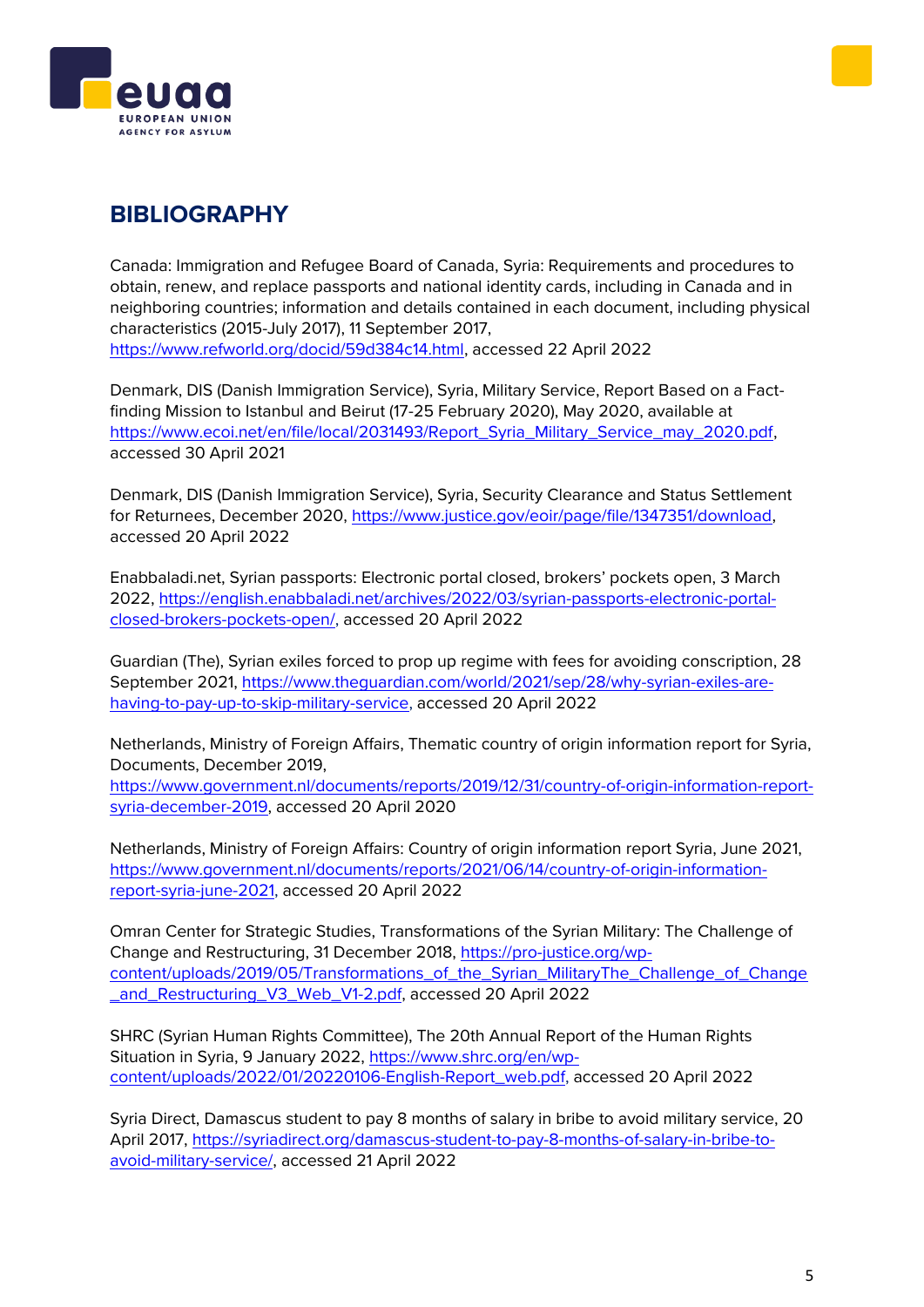



## **BIBLIOGRAPHY**

Canada: Immigration and Refugee Board of Canada, Syria: Requirements and procedures to obtain, renew, and replace passports and national identity cards, including in Canada and in neighboring countries; information and details contained in each document, including physical characteristics (2015-July 2017), 11 September 2017, [https://www.refworld.org/docid/59d384c14.html,](https://www.refworld.org/docid/59d384c14.html) accessed 22 April 2022

Denmark, DIS (Danish Immigration Service), Syria, Military Service, Report Based on a Factfinding Mission to Istanbul and Beirut (17-25 February 2020), May 2020, available at [https://www.ecoi.net/en/file/local/2031493/Report\\_Syria\\_Military\\_Service\\_may\\_2020.pdf,](https://www.ecoi.net/en/file/local/2031493/Report_Syria_Military_Service_may_2020.pdf) accessed 30 April 2021

Denmark, DIS (Danish Immigration Service), Syria, Security Clearance and Status Settlement for Returnees, December 2020, [https://www.justice.gov/eoir/page/file/1347351/download,](https://www.justice.gov/eoir/page/file/1347351/download) accessed 20 April 2022

Enabbaladi.net, Syrian passports: Electronic portal closed, brokers' pockets open, 3 March 2022, [https://english.enabbaladi.net/archives/2022/03/syrian-passports-electronic-portal](https://english.enabbaladi.net/archives/2022/03/syrian-passports-electronic-portal-closed-brokers-pockets-open/)[closed-brokers-pockets-open/,](https://english.enabbaladi.net/archives/2022/03/syrian-passports-electronic-portal-closed-brokers-pockets-open/) accessed 20 April 2022

Guardian (The), Syrian exiles forced to prop up regime with fees for avoiding conscription, 28 September 2021, [https://www.theguardian.com/world/2021/sep/28/why-syrian-exiles-are](https://www.theguardian.com/world/2021/sep/28/why-syrian-exiles-are-having-to-pay-up-to-skip-military-service)[having-to-pay-up-to-skip-military-service,](https://www.theguardian.com/world/2021/sep/28/why-syrian-exiles-are-having-to-pay-up-to-skip-military-service) accessed 20 April 2022

Netherlands, Ministry of Foreign Affairs, Thematic country of origin information report for Syria, Documents, December 2019,

[https://www.government.nl/documents/reports/2019/12/31/country-of-origin-information-report](https://www.government.nl/documents/reports/2019/12/31/country-of-origin-information-report-syria-december-2019)[syria-december-2019,](https://www.government.nl/documents/reports/2019/12/31/country-of-origin-information-report-syria-december-2019) accessed 20 April 2020

Netherlands, Ministry of Foreign Affairs: Country of origin information report Syria, June 2021, [https://www.government.nl/documents/reports/2021/06/14/country-of-origin-information](https://www.government.nl/documents/reports/2021/06/14/country-of-origin-information-report-syria-june-2021)[report-syria-june-2021,](https://www.government.nl/documents/reports/2021/06/14/country-of-origin-information-report-syria-june-2021) accessed 20 April 2022

Omran Center for Strategic Studies, Transformations of the Syrian Military: The Challenge of Change and Restructuring, 31 December 2018, [https://pro-justice.org/wp](https://pro-justice.org/wp-content/uploads/2019/05/Transformations_of_the_Syrian_MilitaryThe_Challenge_of_Change_and_Restructuring_V3_Web_V1-2.pdf)[content/uploads/2019/05/Transformations\\_of\\_the\\_Syrian\\_MilitaryThe\\_Challenge\\_of\\_Change](https://pro-justice.org/wp-content/uploads/2019/05/Transformations_of_the_Syrian_MilitaryThe_Challenge_of_Change_and_Restructuring_V3_Web_V1-2.pdf) and\_Restructuring\_V3\_Web\_V1-2.pdf, accessed 20 April 2022

SHRC (Syrian Human Rights Committee), The 20th Annual Report of the Human Rights Situation in Syria, 9 January 2022, [https://www.shrc.org/en/wp](https://www.shrc.org/en/wp-content/uploads/2022/01/20220106-English-Report_web.pdf)[content/uploads/2022/01/20220106-English-Report\\_web.pdf,](https://www.shrc.org/en/wp-content/uploads/2022/01/20220106-English-Report_web.pdf) accessed 20 April 2022

Syria Direct, Damascus student to pay 8 months of salary in bribe to avoid military service, 20 April 2017, [https://syriadirect.org/damascus-student-to-pay-8-months-of-salary-in-bribe-to](https://syriadirect.org/damascus-student-to-pay-8-months-of-salary-in-bribe-to-avoid-military-service/)[avoid-military-service/,](https://syriadirect.org/damascus-student-to-pay-8-months-of-salary-in-bribe-to-avoid-military-service/) accessed 21 April 2022